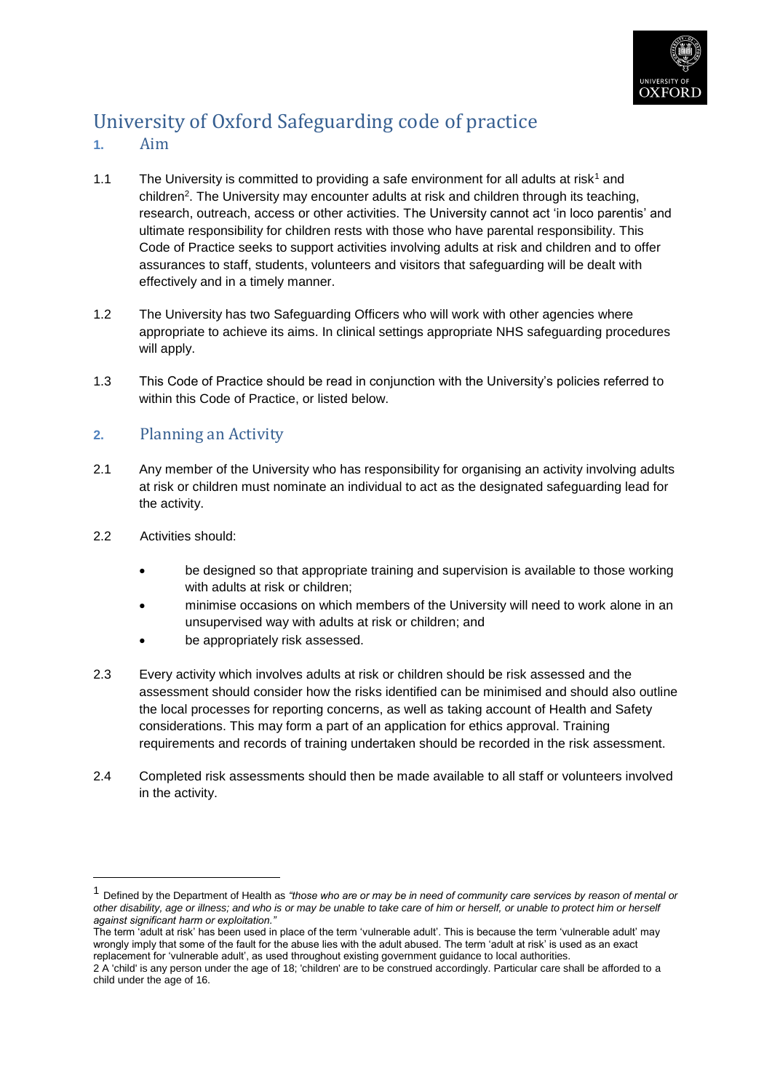

# University of Oxford Safeguarding code of practice

- **1.** Aim
- 1.1 The University is committed to providing a safe environment for all adults at risk<sup>1</sup> and children<sup>2</sup>. The University may encounter adults at risk and children through its teaching, research, outreach, access or other activities. The University cannot act 'in loco parentis' and ultimate responsibility for children rests with those who have parental responsibility. This Code of Practice seeks to support activities involving adults at risk and children and to offer assurances to staff, students, volunteers and visitors that safeguarding will be dealt with effectively and in a timely manner.
- 1.2 The University has two Safeguarding Officers who will work with other agencies where appropriate to achieve its aims. In clinical settings appropriate NHS safeguarding procedures will apply.
- 1.3 This Code of Practice should be read in conjunction with the University's policies referred to within this Code of Practice, or listed below.

### **2.** Planning an Activity

- 2.1 Any member of the University who has responsibility for organising an activity involving adults at risk or children must nominate an individual to act as the designated safeguarding lead for the activity.
- 2.2 Activities should:

1

- be designed so that appropriate training and supervision is available to those working with adults at risk or children;
- minimise occasions on which members of the University will need to work alone in an unsupervised way with adults at risk or children; and
- be appropriately risk assessed.
- 2.3 Every activity which involves adults at risk or children should be risk assessed and the assessment should consider how the risks identified can be minimised and should also outline the local processes for reporting concerns, as well as taking account of Health and Safety considerations. This may form a part of an application for ethics approval. Training requirements and records of training undertaken should be recorded in the risk assessment.
- 2.4 Completed risk assessments should then be made available to all staff or volunteers involved in the activity.

<sup>1</sup> Defined by the Department of Health as *"those who are or may be in need of community care services by reason of mental or other disability, age or illness; and who is or may be unable to take care of him or herself, or unable to protect him or herself against significant harm or exploitation."*

The term 'adult at risk' has been used in place of the term 'vulnerable adult'. This is because the term 'vulnerable adult' may wrongly imply that some of the fault for the abuse lies with the adult abused. The term 'adult at risk' is used as an exact replacement for 'vulnerable adult', as used throughout existing government guidance to local authorities.

<sup>2</sup> A 'child' is any person under the age of 18; 'children' are to be construed accordingly. Particular care shall be afforded to a child under the age of 16.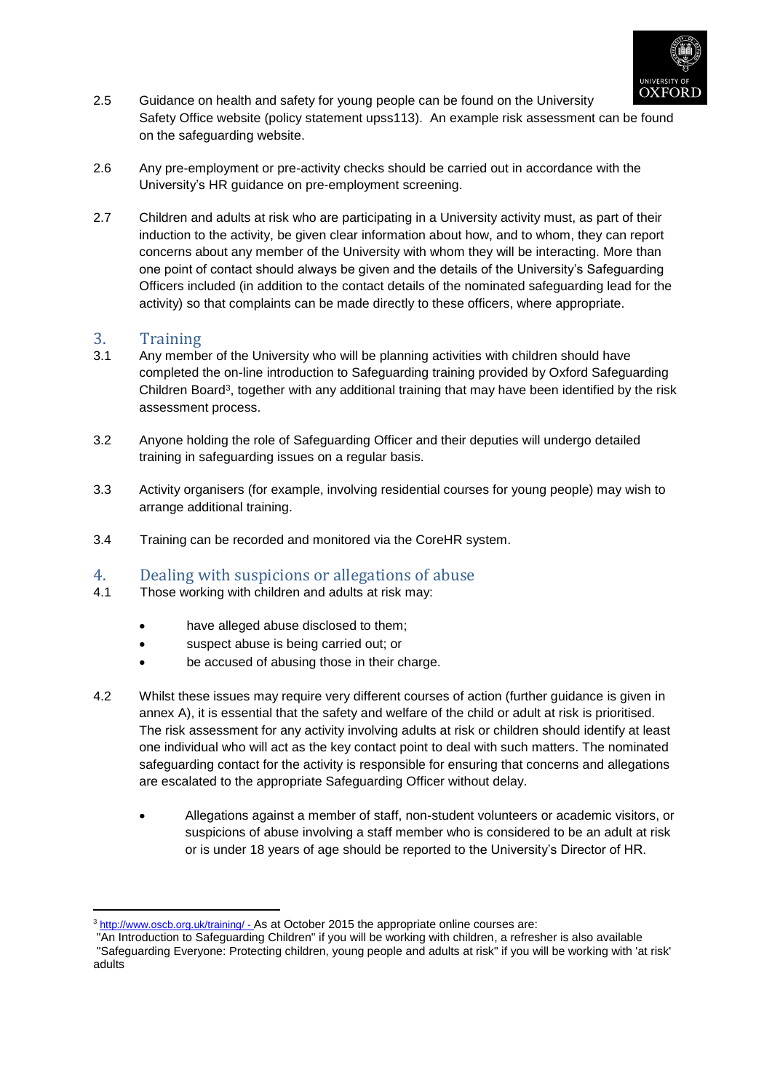

- 2.5 Guidance on health and safety for young people can be found on the University Safety Office website (policy statement upss113). An example risk assessment can be found on the safeguarding website.
- 2.6 Any pre-employment or pre-activity checks should be carried out in accordance with the University's HR guidance on pre-employment screening.
- 2.7 Children and adults at risk who are participating in a University activity must, as part of their induction to the activity, be given clear information about how, and to whom, they can report concerns about any member of the University with whom they will be interacting. More than one point of contact should always be given and the details of the University's Safeguarding Officers included (in addition to the contact details of the nominated safeguarding lead for the activity) so that complaints can be made directly to these officers, where appropriate.

### 3. Training

1

- 3.1 Any member of the University who will be planning activities with children should have completed the on-line introduction to Safeguarding training provided by Oxford Safeguarding Children Board<sup>3</sup>, together with any additional training that may have been identified by the risk assessment process.
- 3.2 Anyone holding the role of Safeguarding Officer and their deputies will undergo detailed training in safeguarding issues on a regular basis.
- 3.3 Activity organisers (for example, involving residential courses for young people) may wish to arrange additional training.
- 3.4 Training can be recorded and monitored via the CoreHR system.

### 4. Dealing with suspicions or allegations of abuse

- 4.1 Those working with children and adults at risk may:
	- have alleged abuse disclosed to them;
	- suspect abuse is being carried out; or
	- be accused of abusing those in their charge.
- 4.2 Whilst these issues may require very different courses of action (further guidance is given in annex A), it is essential that the safety and welfare of the child or adult at risk is prioritised. The risk assessment for any activity involving adults at risk or children should identify at least one individual who will act as the key contact point to deal with such matters. The nominated safeguarding contact for the activity is responsible for ensuring that concerns and allegations are escalated to the appropriate Safeguarding Officer without delay.
	- Allegations against a member of staff, non-student volunteers or academic visitors, or suspicions of abuse involving a staff member who is considered to be an adult at risk or is under 18 years of age should be reported to the University's Director of HR.

<sup>3</sup> <http://www.oscb.org.uk/training/> - As at October 2015 the appropriate online courses are:

<sup>&</sup>quot;An Introduction to Safeguarding Children" if you will be working with children, a refresher is also available "Safeguarding Everyone: Protecting children, young people and adults at risk" if you will be working with 'at risk' adults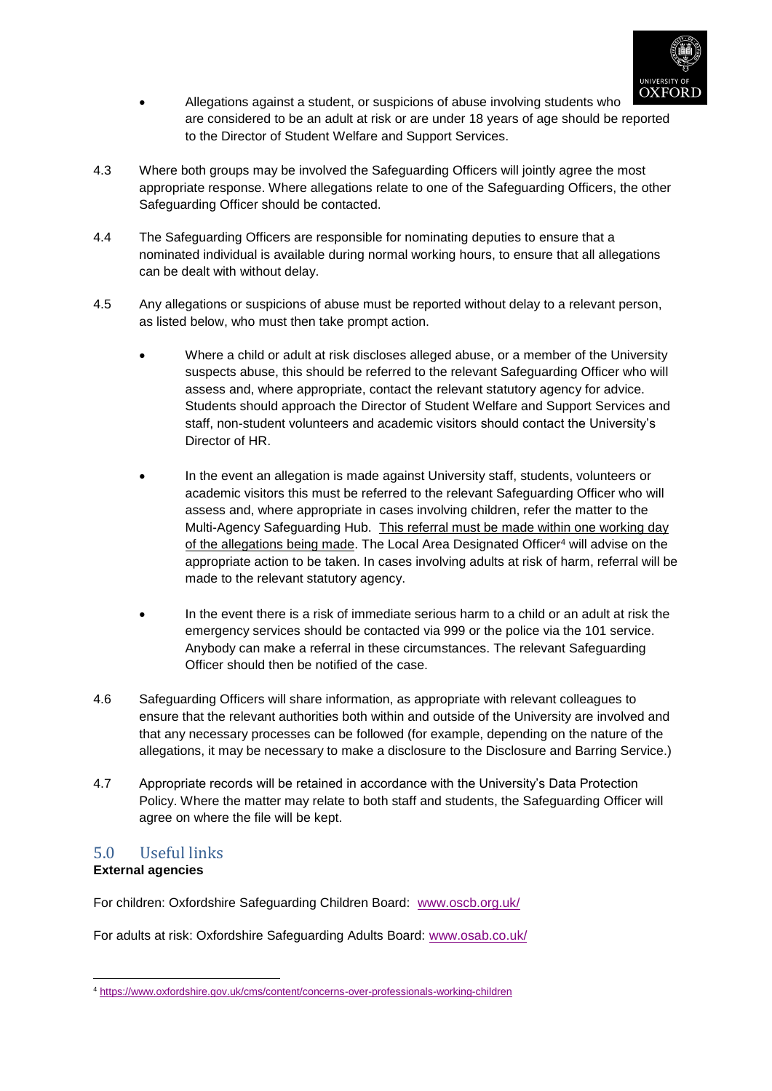

- Allegations against a student, or suspicions of abuse involving students who are considered to be an adult at risk or are under 18 years of age should be reported to the Director of Student Welfare and Support Services.
- 4.3 Where both groups may be involved the Safeguarding Officers will jointly agree the most appropriate response. Where allegations relate to one of the Safeguarding Officers, the other Safeguarding Officer should be contacted.
- 4.4 The Safeguarding Officers are responsible for nominating deputies to ensure that a nominated individual is available during normal working hours, to ensure that all allegations can be dealt with without delay.
- 4.5 Any allegations or suspicions of abuse must be reported without delay to a relevant person, as listed below, who must then take prompt action.
	- Where a child or adult at risk discloses alleged abuse, or a member of the University suspects abuse, this should be referred to the relevant Safeguarding Officer who will assess and, where appropriate, contact the relevant statutory agency for advice. Students should approach the Director of Student Welfare and Support Services and staff, non-student volunteers and academic visitors should contact the University's Director of HR.
	- In the event an allegation is made against University staff, students, volunteers or academic visitors this must be referred to the relevant Safeguarding Officer who will assess and, where appropriate in cases involving children, refer the matter to the Multi-Agency Safeguarding Hub. This referral must be made within one working day of the allegations being made. The Local Area Designated Officer<sup>4</sup> will advise on the appropriate action to be taken. In cases involving adults at risk of harm, referral will be made to the relevant statutory agency.
	- In the event there is a risk of immediate serious harm to a child or an adult at risk the emergency services should be contacted via 999 or the police via the 101 service. Anybody can make a referral in these circumstances. The relevant Safeguarding Officer should then be notified of the case.
- 4.6 Safeguarding Officers will share information, as appropriate with relevant colleagues to ensure that the relevant authorities both within and outside of the University are involved and that any necessary processes can be followed (for example, depending on the nature of the allegations, it may be necessary to make a disclosure to the Disclosure and Barring Service.)
- 4.7 Appropriate records will be retained in accordance with the University's Data Protection Policy. Where the matter may relate to both staff and students, the Safeguarding Officer will agree on where the file will be kept.

## 5.0 Useful links

### **External agencies**

<u>.</u>

For children: Oxfordshire Safeguarding Children Board: [www.oscb.org.uk/](http://www.oscb.org.uk/)

For adults at risk: Oxfordshire Safeguarding Adults Board: [www.osab.co.uk/](http://www.osab.co.uk/)

<sup>4</sup> <https://www.oxfordshire.gov.uk/cms/content/concerns-over-professionals-working-children>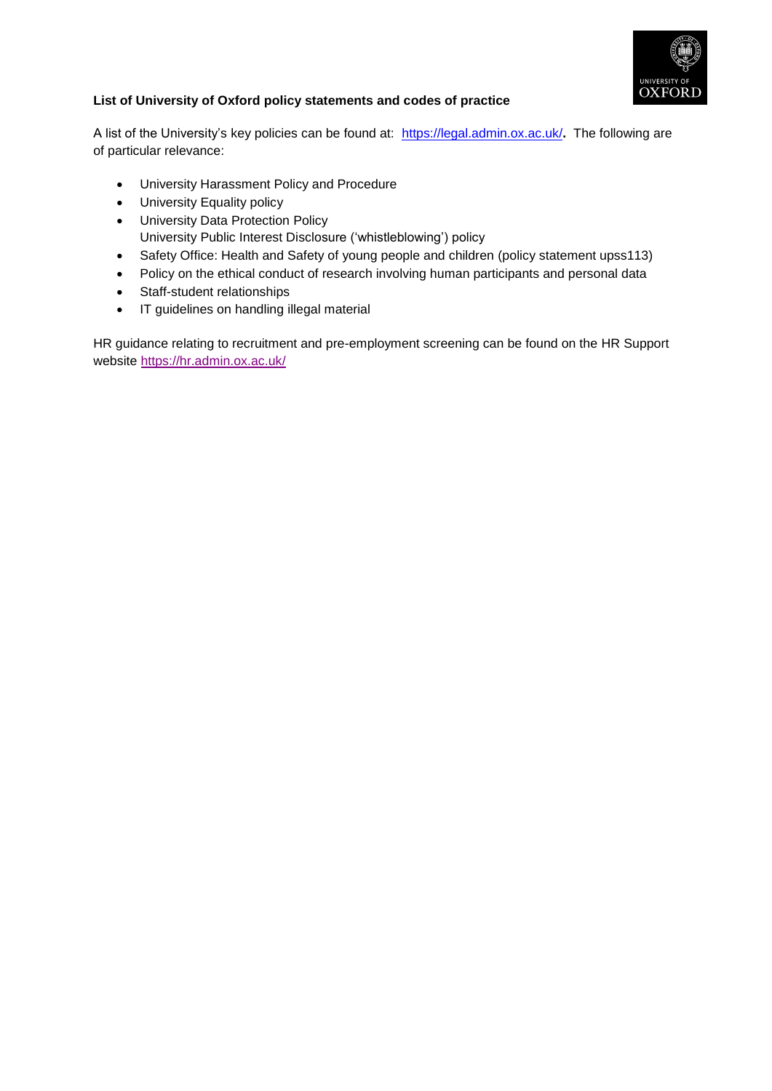

### **List of University of Oxford policy statements and codes of practice**

A list of the University's key policies can be found at: [https://legal.admin.ox.ac.uk/](http://www.admin.ox.ac.uk/lso/statutes/)**.** The following are of particular relevance:

- University Harassment Policy and Procedure
- University Equality policy
- University Data Protection Policy University Public Interest Disclosure ('whistleblowing') policy
- Safety Office: Health and Safety of young people and children (policy statement upss113)
- Policy on the ethical conduct of research involving human participants and personal data
- Staff-student relationships
- IT guidelines on handling illegal material

HR guidance relating to recruitment and pre-employment screening can be found on the HR Support website<https://hr.admin.ox.ac.uk/>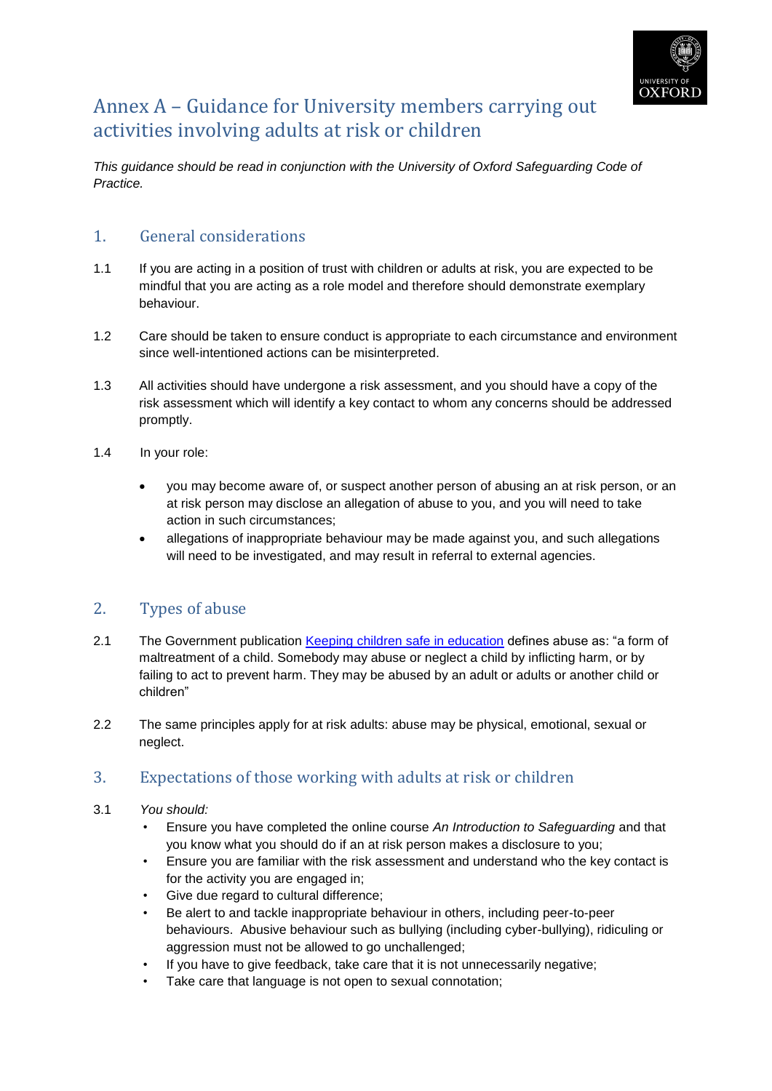

## Annex A – Guidance for University members carrying out activities involving adults at risk or children

*This guidance should be read in conjunction with the University of Oxford Safeguarding Code of Practice.*

### 1. General considerations

- 1.1 If you are acting in a position of trust with children or adults at risk, you are expected to be mindful that you are acting as a role model and therefore should demonstrate exemplary behaviour.
- 1.2 Care should be taken to ensure conduct is appropriate to each circumstance and environment since well-intentioned actions can be misinterpreted.
- 1.3 All activities should have undergone a risk assessment, and you should have a copy of the risk assessment which will identify a key contact to whom any concerns should be addressed promptly.
- 1.4 In your role:
	- you may become aware of, or suspect another person of abusing an at risk person, or an at risk person may disclose an allegation of abuse to you, and you will need to take action in such circumstances;
	- allegations of inappropriate behaviour may be made against you, and such allegations will need to be investigated, and may result in referral to external agencies.

## 2. Types of abuse

- 2.1 The Government publication Keeping [children safe in education](https://www.gov.uk/government/uploads/system/uploads/attachment_data/file/447595/KCSIE_July_2015.pdf) defines abuse as: "a form of maltreatment of a child. Somebody may abuse or neglect a child by inflicting harm, or by failing to act to prevent harm. They may be abused by an adult or adults or another child or children"
- 2.2 The same principles apply for at risk adults: abuse may be physical, emotional, sexual or neglect.

### 3. Expectations of those working with adults at risk or children

- 3.1 *You should:*
	- Ensure you have completed the online course *An Introduction to Safeguarding* and that you know what you should do if an at risk person makes a disclosure to you;
	- Ensure you are familiar with the risk assessment and understand who the key contact is for the activity you are engaged in;
	- Give due regard to cultural difference;
	- Be alert to and tackle inappropriate behaviour in others, including peer-to-peer behaviours. Abusive behaviour such as bullying (including cyber-bullying), ridiculing or aggression must not be allowed to go unchallenged;
	- If you have to give feedback, take care that it is not unnecessarily negative;
	- Take care that language is not open to sexual connotation;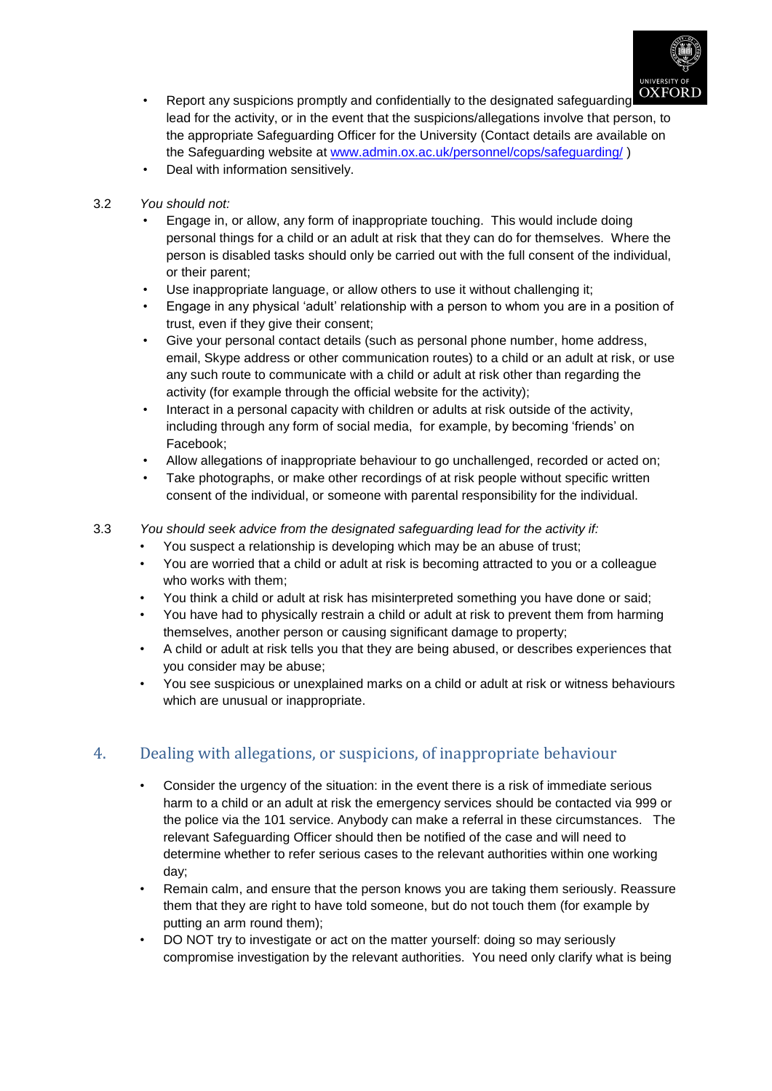

- Report any suspicions promptly and confidentially to the designated safeguarding lead for the activity, or in the event that the suspicions/allegations involve that person, to the appropriate Safeguarding Officer for the University (Contact details are available on the Safeguarding website at [www.admin.ox.ac.uk/personnel/cops/safeguarding/](http://www.admin.ox.ac.uk/personnel/cops/safeguarding/) )
- Deal with information sensitively.
- 3.2 *You should not:*
	- Engage in, or allow, any form of inappropriate touching. This would include doing personal things for a child or an adult at risk that they can do for themselves. Where the person is disabled tasks should only be carried out with the full consent of the individual, or their parent;
	- Use inappropriate language, or allow others to use it without challenging it;
	- Engage in any physical 'adult' relationship with a person to whom you are in a position of trust, even if they give their consent;
	- Give your personal contact details (such as personal phone number, home address, email, Skype address or other communication routes) to a child or an adult at risk, or use any such route to communicate with a child or adult at risk other than regarding the activity (for example through the official website for the activity):
	- Interact in a personal capacity with children or adults at risk outside of the activity, including through any form of social media, for example, by becoming 'friends' on Facebook;
	- Allow allegations of inappropriate behaviour to go unchallenged, recorded or acted on;
	- Take photographs, or make other recordings of at risk people without specific written consent of the individual, or someone with parental responsibility for the individual.
- 3.3 *You should seek advice from the designated safeguarding lead for the activity if:*
	- You suspect a relationship is developing which may be an abuse of trust;
	- You are worried that a child or adult at risk is becoming attracted to you or a colleague who works with them;
	- You think a child or adult at risk has misinterpreted something you have done or said;
	- You have had to physically restrain a child or adult at risk to prevent them from harming themselves, another person or causing significant damage to property;
	- A child or adult at risk tells you that they are being abused, or describes experiences that you consider may be abuse;
	- You see suspicious or unexplained marks on a child or adult at risk or witness behaviours which are unusual or inappropriate.

## 4. Dealing with allegations, or suspicions, of inappropriate behaviour

- Consider the urgency of the situation: in the event there is a risk of immediate serious harm to a child or an adult at risk the emergency services should be contacted via 999 or the police via the 101 service. Anybody can make a referral in these circumstances. The relevant Safeguarding Officer should then be notified of the case and will need to determine whether to refer serious cases to the relevant authorities within one working day;
- Remain calm, and ensure that the person knows you are taking them seriously. Reassure them that they are right to have told someone, but do not touch them (for example by putting an arm round them);
- DO NOT try to investigate or act on the matter yourself: doing so may seriously compromise investigation by the relevant authorities. You need only clarify what is being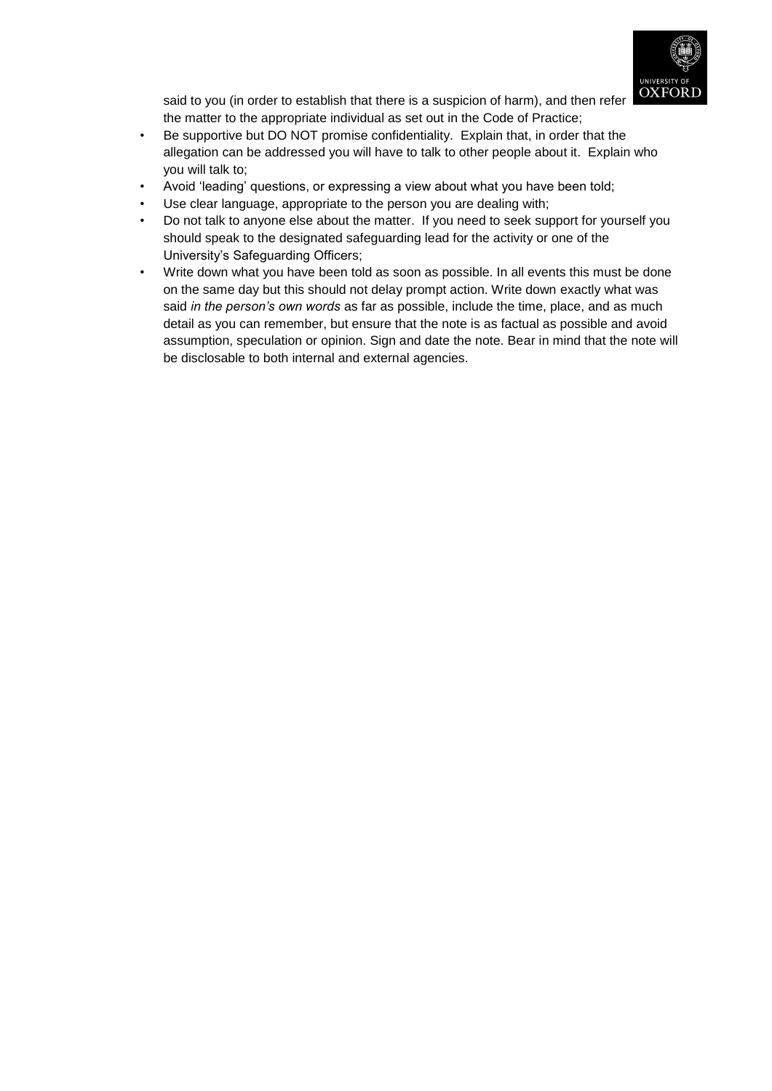

said to you (in order to establish that there is a suspicion of harm), and then refer the matter to the appropriate individual as set out in the Code of Practice;

- Be supportive but DO NOT promise confidentiality. Explain that, in order that the allegation can be addressed you will have to talk to other people about it. Explain who you will talk to;
- Avoid 'leading' questions, or expressing a view about what you have been told;
- Use clear language, appropriate to the person you are dealing with;
- Do not talk to anyone else about the matter. If you need to seek support for yourself you should speak to the designated safeguarding lead for the activity or one of the University's Safeguarding Officers;
- Write down what you have been told as soon as possible. In all events this must be done on the same day but this should not delay prompt action. Write down exactly what was said *in the person's own words* as far as possible, include the time, place, and as much detail as you can remember, but ensure that the note is as factual as possible and avoid assumption, speculation or opinion. Sign and date the note. Bear in mind that the note will be disclosable to both internal and external agencies.